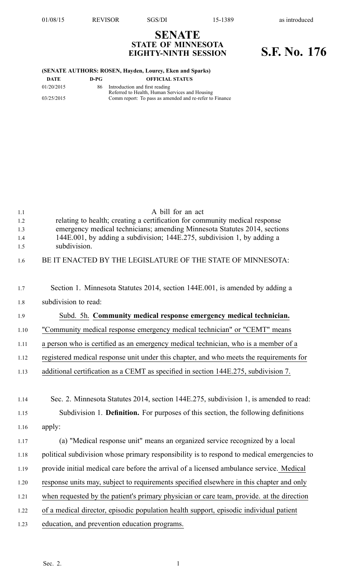**SENATE STATE OF MINNESOTA**

## **EIGHTY-NINTH SESSION S.F. No. 176**

## **(SENATE AUTHORS: ROSEN, Hayden, Lourey, Eken and Sparks)**

| DATE       | D-PG | <b>OFFICIAL STATUS</b>                                  |
|------------|------|---------------------------------------------------------|
| 01/20/2015 | 86.  | Introduction and first reading                          |
|            |      | Referred to Health, Human Services and Housing          |
| 03/25/2015 |      | Comm report: To pass as amended and re-refer to Finance |
|            |      |                                                         |

| 1.1        | A bill for an act                                                                                                                                        |
|------------|----------------------------------------------------------------------------------------------------------------------------------------------------------|
| 1.2<br>1.3 | relating to health; creating a certification for community medical response<br>emergency medical technicians; amending Minnesota Statutes 2014, sections |
| 1.4        | 144E.001, by adding a subdivision; 144E.275, subdivision 1, by adding a                                                                                  |
| 1.5        | subdivision.                                                                                                                                             |
| 1.6        | BE IT ENACTED BY THE LEGISLATURE OF THE STATE OF MINNESOTA:                                                                                              |
| 1.7        | Section 1. Minnesota Statutes 2014, section 144E.001, is amended by adding a                                                                             |
| 1.8        | subdivision to read:                                                                                                                                     |
| 1.9        | Subd. 5h. Community medical response emergency medical technician.                                                                                       |
| 1.10       | "Community medical response emergency medical technician" or "CEMT" means                                                                                |
| 1.11       | a person who is certified as an emergency medical technician, who is a member of a                                                                       |
| 1.12       | registered medical response unit under this chapter, and who meets the requirements for                                                                  |
| 1.13       | additional certification as a CEMT as specified in section 144E.275, subdivision 7.                                                                      |
|            |                                                                                                                                                          |
| 1.14       | Sec. 2. Minnesota Statutes 2014, section 144E.275, subdivision 1, is amended to read:                                                                    |
| 1.15       | Subdivision 1. Definition. For purposes of this section, the following definitions                                                                       |
| 1.16       | apply:                                                                                                                                                   |
| 1.17       | (a) "Medical response unit" means an organized service recognized by a local                                                                             |
| 1.18       | political subdivision whose primary responsibility is to respond to medical emergencies to                                                               |
| 1.19       | provide initial medical care before the arrival of a licensed ambulance service. Medical                                                                 |
| 1.20       | response units may, subject to requirements specified elsewhere in this chapter and only                                                                 |
| 1.21       | when requested by the patient's primary physician or care team, provide. at the direction                                                                |
| 1.22       | of a medical director, episodic population health support, episodic individual patient                                                                   |
| 1.23       | education, and prevention education programs.                                                                                                            |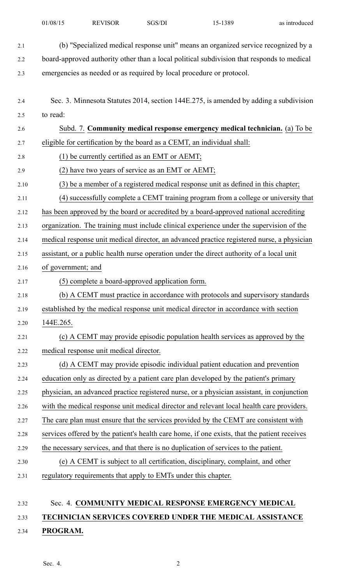- 2.1 (b) "Specialized medical response unit" means an organized service recognized by <sup>a</sup> 2.2 board-approved authority other than <sup>a</sup> local political subdivision that responds to medical 2.3 emergencies as needed or as required by local procedure or protocol.
- 2.4 Sec. 3. Minnesota Statutes 2014, section 144E.275, is amended by adding <sup>a</sup> subdivision 2.5 to read:
- 2.6 Subd. 7. **Community medical response emergency medical technician.** (a) To be 2.7 eligible for certification by the board as <sup>a</sup> CEMT, an individual shall: 2.8 (1) be currently certified as an EMT or AEMT; 2.9 (2) have two years of service as an EMT or AEMT; 2.10 (3) be <sup>a</sup> member of <sup>a</sup> registered medical response unit as defined in this chapter; 2.11 (4) successfully complete <sup>a</sup> CEMT training program from <sup>a</sup> college or university that 2.12 has been approved by the board or accredited by <sup>a</sup> board-approved national accrediting 2.13 organization. The training must include clinical experience under the supervision of the 2.14 medical response unit medical director, an advanced practice registered nurse, <sup>a</sup> physician 2.15 assistant, or <sup>a</sup> public health nurse operation under the direct authority of <sup>a</sup> local unit 2.16 of government; and 2.17 (5) complete <sup>a</sup> board-approved application form. 2.18 (b) A CEMT must practice in accordance with protocols and supervisory standards 2.19 established by the medical response unit medical director in accordance with section 2.20 144E.265. 2.21 (c) A CEMT may provide episodic population health services as approved by the 2.22 medical response unit medical director. 2.23 (d) A CEMT may provide episodic individual patient education and prevention 2.24 education only as directed by <sup>a</sup> patient care plan developed by the patient's primary 2.25 physician, an advanced practice registered nurse, or <sup>a</sup> physician assistant, in conjunction 2.26 with the medical response unit medical director and relevant local health care providers. 2.27 The care plan must ensure that the services provided by the CEMT are consistent with 2.28 services offered by the patient's health care home, if one exists, that the patient receives 2.29 the necessary services, and that there is no duplication of services to the patient. 2.30 (e) A CEMT is subject to all certification, disciplinary, complaint, and other 2.31 regulatory requirements that apply to EMTs under this chapter.

## 2.32 Sec. 4. **COMMUNITY MEDICAL RESPONSE EMERGENCY MEDICAL**

## 2.33 **TECHNICIAN SERVICES COVERED UNDER THE MEDICAL ASSISTANCE**

2.34 **PROGRAM.**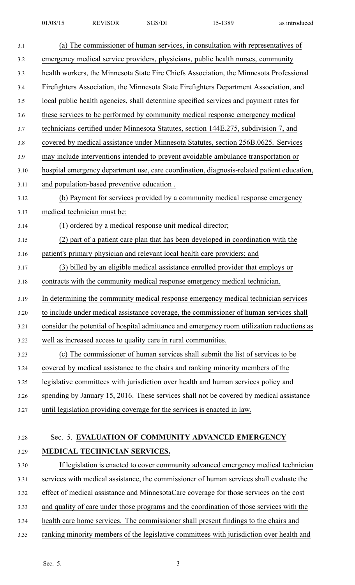| 3.1  | (a) The commissioner of human services, in consultation with representatives of            |
|------|--------------------------------------------------------------------------------------------|
| 3.2  | emergency medical service providers, physicians, public health nurses, community           |
| 3.3  | health workers, the Minnesota State Fire Chiefs Association, the Minnesota Professional    |
| 3.4  | Firefighters Association, the Minnesota State Firefighters Department Association, and     |
| 3.5  | local public health agencies, shall determine specified services and payment rates for     |
| 3.6  | these services to be performed by community medical response emergency medical             |
| 3.7  | technicians certified under Minnesota Statutes, section 144E.275, subdivision 7, and       |
| 3.8  | covered by medical assistance under Minnesota Statutes, section 256B.0625. Services        |
| 3.9  | may include interventions intended to prevent avoidable ambulance transportation or        |
| 3.10 | hospital emergency department use, care coordination, diagnosis-related patient education, |
| 3.11 | and population-based preventive education.                                                 |
| 3.12 | (b) Payment for services provided by a community medical response emergency                |
| 3.13 | medical technician must be:                                                                |
| 3.14 | (1) ordered by a medical response unit medical director;                                   |
| 3.15 | (2) part of a patient care plan that has been developed in coordination with the           |
| 3.16 | patient's primary physician and relevant local health care providers; and                  |
| 3.17 | (3) billed by an eligible medical assistance enrolled provider that employs or             |
| 3.18 | contracts with the community medical response emergency medical technician.                |
| 3.19 | In determining the community medical response emergency medical technician services        |
| 3.20 | to include under medical assistance coverage, the commissioner of human services shall     |
| 3.21 | consider the potential of hospital admittance and emergency room utilization reductions as |
| 3.22 | well as increased access to quality care in rural communities.                             |
| 3.23 | (c) The commissioner of human services shall submit the list of services to be             |
| 3.24 | covered by medical assistance to the chairs and ranking minority members of the            |
| 3.25 | legislative committees with jurisdiction over health and human services policy and         |
| 3.26 | spending by January 15, 2016. These services shall not be covered by medical assistance    |
| 3.27 | until legislation providing coverage for the services is enacted in law.                   |
|      | Sec. 5. EVALUATION OF COMMUNITY ADVANCED EMERGENCY                                         |
| 3.28 |                                                                                            |
| 3.29 | MEDICAL TECHNICIAN SERVICES.                                                               |
| 3.30 | If legislation is enacted to cover community advanced emergency medical technician         |
| 3.31 | services with medical assistance, the commissioner of human services shall evaluate the    |
| 3.32 | effect of medical assistance and MinnesotaCare coverage for those services on the cost     |

- 3.33 and quality of care under those programs and the coordination of those services with the
- 3.34 health care home services. The commissioner shall presen<sup>t</sup> findings to the chairs and
- 3.35 ranking minority members of the legislative committees with jurisdiction over health and